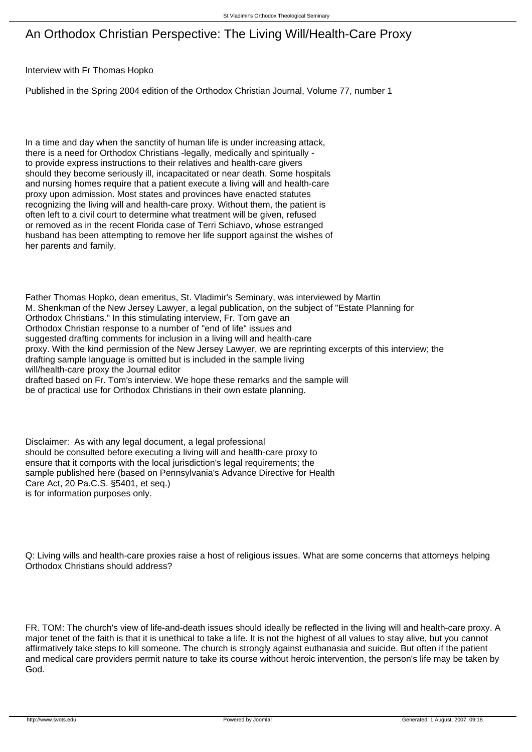## An Orthodox Christian Perspective: The Living Will/Health-Care Proxy

## Interview with Fr Thomas Hopko

Published in the Spring 2004 edition of the Orthodox Christian Journal, Volume 77, number 1

In a time and day when the sanctity of human life is under increasing attack, there is a need for Orthodox Christians -legally, medically and spiritually to provide express instructions to their relatives and health-care givers should they become seriously ill, incapacitated or near death. Some hospitals and nursing homes require that a patient execute a living will and health-care proxy upon admission. Most states and provinces have enacted statutes recognizing the living will and health-care proxy. Without them, the patient is often left to a civil court to determine what treatment will be given, refused or removed as in the recent Florida case of Terri Schiavo, whose estranged husband has been attempting to remove her life support against the wishes of her parents and family.

Father Thomas Hopko, dean emeritus, St. Vladimir's Seminary, was interviewed by Martin M. Shenkman of the New Jersey Lawyer, a legal publication, on the subject of "Estate Planning for Orthodox Christians." In this stimulating interview, Fr. Tom gave an Orthodox Christian response to a number of "end of life" issues and suggested drafting comments for inclusion in a living will and health-care proxy. With the kind permission of the New Jersey Lawyer, we are reprinting excerpts of this interview; the drafting sample language is omitted but is included in the sample living will/health-care proxy the Journal editor drafted based on Fr. Tom's interview. We hope these remarks and the sample will be of practical use for Orthodox Christians in their own estate planning.

Disclaimer: As with any legal document, a legal professional should be consulted before executing a living will and health-care proxy to ensure that it comports with the local jurisdiction's legal requirements; the sample published here (based on Pennsylvania's Advance Directive for Health Care Act, 20 Pa.C.S. §5401, et seq.) is for information purposes only.

Q: Living wills and health-care proxies raise a host of religious issues. What are some concerns that attorneys helping Orthodox Christians should address?

FR. TOM: The church's view of life-and-death issues should ideally be reflected in the living will and health-care proxy. A major tenet of the faith is that it is unethical to take a life. It is not the highest of all values to stay alive, but you cannot affirmatively take steps to kill someone. The church is strongly against euthanasia and suicide. But often if the patient and medical care providers permit nature to take its course without heroic intervention, the person's life may be taken by God.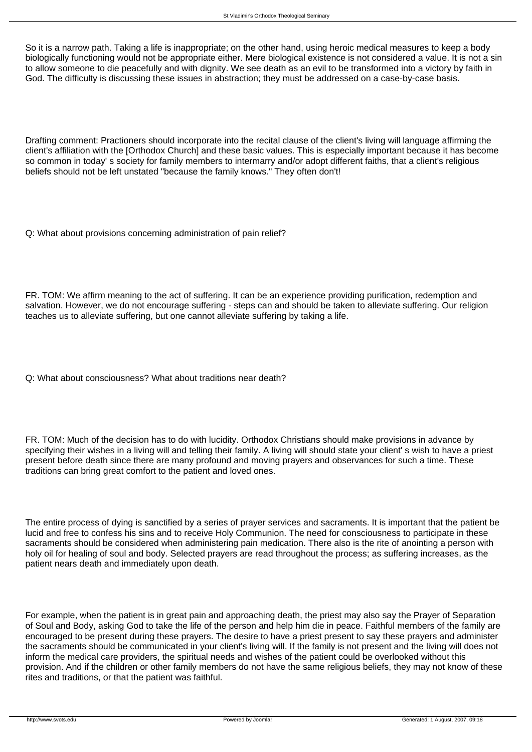So it is a narrow path. Taking a life is inappropriate; on the other hand, using heroic medical measures to keep a body biologically functioning would not be appropriate either. Mere biological existence is not considered a value. It is not a sin to allow someone to die peacefully and with dignity. We see death as an evil to be transformed into a victory by faith in God. The difficulty is discussing these issues in abstraction; they must be addressed on a case-by-case basis.

Drafting comment: Practioners should incorporate into the recital clause of the client's living will language affirming the client's affiliation with the [Orthodox Church] and these basic values. This is especially important because it has become so common in today' s society for family members to intermarry and/or adopt different faiths, that a client's religious beliefs should not be left unstated "because the family knows." They often don't!

Q: What about provisions concerning administration of pain relief?

FR. TOM: We affirm meaning to the act of suffering. It can be an experience providing purification, redemption and salvation. However, we do not encourage suffering - steps can and should be taken to alleviate suffering. Our religion teaches us to alleviate suffering, but one cannot alleviate suffering by taking a life.

Q: What about consciousness? What about traditions near death?

FR. TOM: Much of the decision has to do with lucidity. Orthodox Christians should make provisions in advance by specifying their wishes in a living will and telling their family. A living will should state your client' s wish to have a priest present before death since there are many profound and moving prayers and observances for such a time. These traditions can bring great comfort to the patient and loved ones.

The entire process of dying is sanctified by a series of prayer services and sacraments. It is important that the patient be lucid and free to confess his sins and to receive Holy Communion. The need for consciousness to participate in these sacraments should be considered when administering pain medication. There also is the rite of anointing a person with holy oil for healing of soul and body. Selected prayers are read throughout the process; as suffering increases, as the patient nears death and immediately upon death.

For example, when the patient is in great pain and approaching death, the priest may also say the Prayer of Separation of Soul and Body, asking God to take the life of the person and help him die in peace. Faithful members of the family are encouraged to be present during these prayers. The desire to have a priest present to say these prayers and administer the sacraments should be communicated in your client's living will. If the family is not present and the living will does not inform the medical care providers, the spiritual needs and wishes of the patient could be overlooked without this provision. And if the children or other family members do not have the same religious beliefs, they may not know of these rites and traditions, or that the patient was faithful.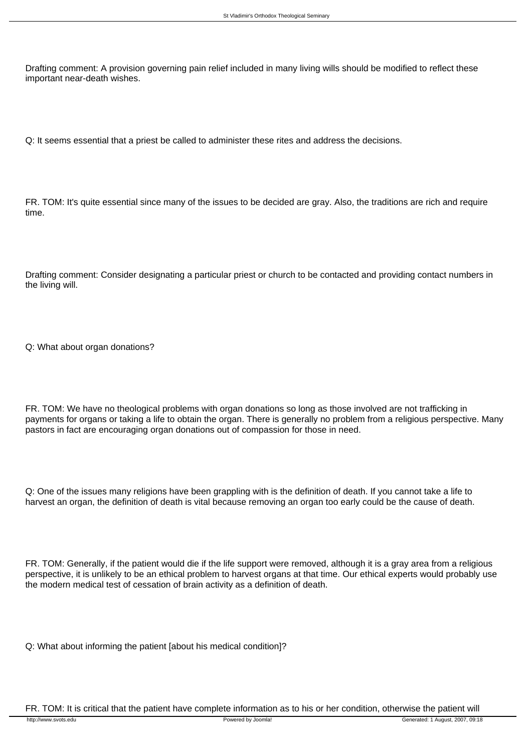Drafting comment: A provision governing pain relief included in many living wills should be modified to reflect these important near-death wishes.

Q: It seems essential that a priest be called to administer these rites and address the decisions.

FR. TOM: It's quite essential since many of the issues to be decided are gray. Also, the traditions are rich and require time.

Drafting comment: Consider designating a particular priest or church to be contacted and providing contact numbers in the living will.

Q: What about organ donations?

FR. TOM: We have no theological problems with organ donations so long as those involved are not trafficking in payments for organs or taking a life to obtain the organ. There is generally no problem from a religious perspective. Many pastors in fact are encouraging organ donations out of compassion for those in need.

Q: One of the issues many religions have been grappling with is the definition of death. If you cannot take a life to harvest an organ, the definition of death is vital because removing an organ too early could be the cause of death.

FR. TOM: Generally, if the patient would die if the life support were removed, although it is a gray area from a religious perspective, it is unlikely to be an ethical problem to harvest organs at that time. Our ethical experts would probably use the modern medical test of cessation of brain activity as a definition of death.

Q: What about informing the patient [about his medical condition]?

FR. TOM: It is critical that the patient have complete information as to his or her condition, otherwise the patient will